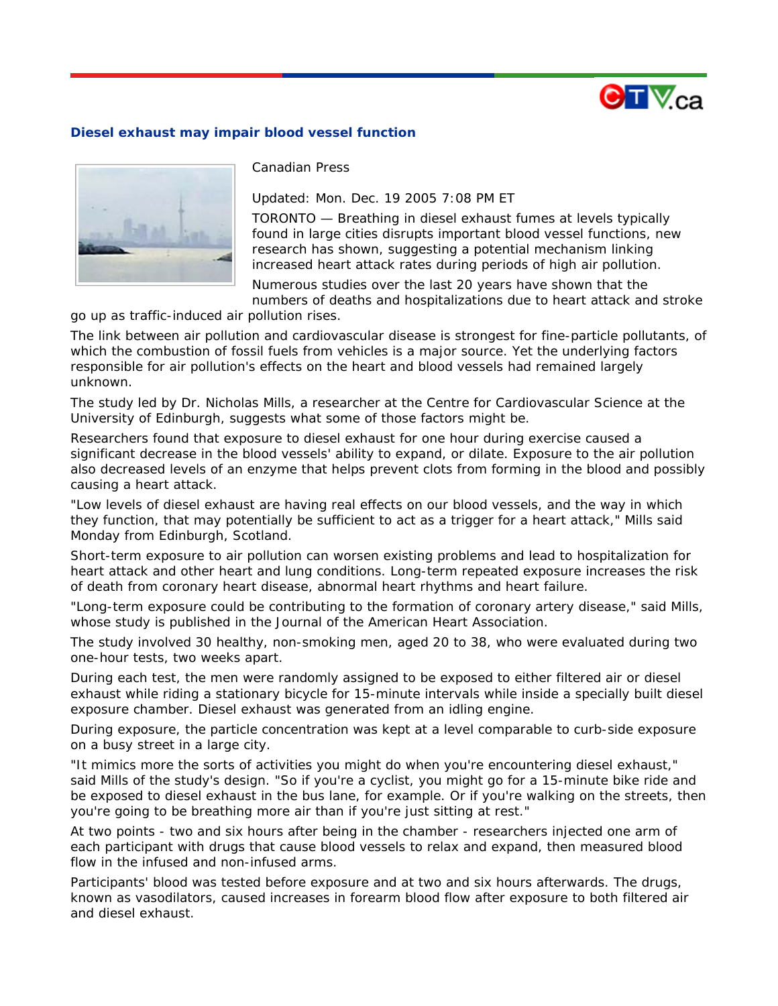

## **Diesel exhaust may impair blood vessel function**



*Canadian Press* 

*Updated: Mon. Dec. 19 2005 7:08 PM ET* 

TORONTO — Breathing in diesel exhaust fumes at levels typically found in large cities disrupts important blood vessel functions, new research has shown, suggesting a potential mechanism linking increased heart attack rates during periods of high air pollution.

Numerous studies over the last 20 years have shown that the numbers of deaths and hospitalizations due to heart attack and stroke

go up as traffic-induced air pollution rises.

The link between air pollution and cardiovascular disease is strongest for fine-particle pollutants, of which the combustion of fossil fuels from vehicles is a major source. Yet the underlying factors responsible for air pollution's effects on the heart and blood vessels had remained largely unknown.

The study led by Dr. Nicholas Mills, a researcher at the Centre for Cardiovascular Science at the University of Edinburgh, suggests what some of those factors might be.

Researchers found that exposure to diesel exhaust for one hour during exercise caused a significant decrease in the blood vessels' ability to expand, or dilate. Exposure to the air pollution also decreased levels of an enzyme that helps prevent clots from forming in the blood and possibly causing a heart attack.

"Low levels of diesel exhaust are having real effects on our blood vessels, and the way in which they function, that may potentially be sufficient to act as a trigger for a heart attack," Mills said Monday from Edinburgh, Scotland.

Short-term exposure to air pollution can worsen existing problems and lead to hospitalization for heart attack and other heart and lung conditions. Long-term repeated exposure increases the risk of death from coronary heart disease, abnormal heart rhythms and heart failure.

"Long-term exposure could be contributing to the formation of coronary artery disease," said Mills, whose study is published in the Journal of the American Heart Association.

The study involved 30 healthy, non-smoking men, aged 20 to 38, who were evaluated during two one-hour tests, two weeks apart.

During each test, the men were randomly assigned to be exposed to either filtered air or diesel exhaust while riding a stationary bicycle for 15-minute intervals while inside a specially built diesel exposure chamber. Diesel exhaust was generated from an idling engine.

During exposure, the particle concentration was kept at a level comparable to curb-side exposure on a busy street in a large city.

"It mimics more the sorts of activities you might do when you're encountering diesel exhaust," said Mills of the study's design. "So if you're a cyclist, you might go for a 15-minute bike ride and be exposed to diesel exhaust in the bus lane, for example. Or if you're walking on the streets, then you're going to be breathing more air than if you're just sitting at rest."

At two points - two and six hours after being in the chamber - researchers injected one arm of each participant with drugs that cause blood vessels to relax and expand, then measured blood flow in the infused and non-infused arms.

Participants' blood was tested before exposure and at two and six hours afterwards. The drugs, known as vasodilators, caused increases in forearm blood flow after exposure to both filtered air and diesel exhaust.